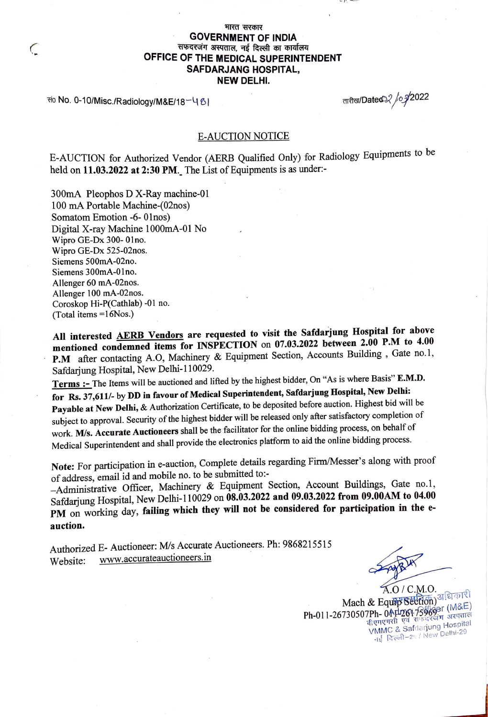## भारत सरकार **GOVERNMENT OF INDIA**  सफदरजंग अस्पताल, नई दिल्ली का कार्यालय **OFFICE OF THE MEDICAL SUPERINTENDENT SAFDARJANG HOSPITAL, NEW DELHI.**

सं0 No. 0-10/Misc./Radiology/M&E/18<sup>-1</sup>

*C* 

तारीख/Dated् $\!\!\! \swarrow \!\!\! / \!\!\! \nearrow \!\!\! 2022$ 

 $\sim r$ 

## E-AUCTION NOTICE

E-AUCTION for Authorized Vendor (AERB Qualified Only) for Radiology Equipments to be held on 11.03.2022 at 2:30 PM. The List of Equipments is as under:-

300mA Pleophos DX-Ray machine-01 100 mA Portable Machine-(02nos) Somatom Emotion -6- 0lnos) Digital X-ray Machine l000mA-01 No Wipro GE-Dx 300- 0lno. Wipro GE-Dx 525-02nos. Siemens 500mA-02no. Siemens 300mA-0lno. Allenger 60 mA-02nos. Allenger 100 mA-02nos. Coroskop Hi-P(Cathlab)-01 no. (Total items =16Nos.)

**All interested AERB Vendors are requested to visit the Safdarjung Hospital for above mentioned condemned items for INSPECTION** on **07.03.2022 between 2.00 P.M to 4.00**  P.M after contacting A.O, Machinery & Equipment Section, Accounts Building, Gate no.1, Safdarjung Hospital, New Delhi-110029. ·

**Terms** :- The Items will be auctioned and lifted by the highest bidder, On "As is where Basis" **E.M.D. for Rs. 37 ,611/-** by **DD in favour of Medical Superintendent, Safdarjung Hospital, New Delhi: Payable at New Delhi,** & Authorization Certificate, to be deposited before auction. Highest bid will be subject to approval. Security of the highest bidder will be released only after satisfactory completion of work. **M/s. Accurate Auctioneers** shall be the facilitator for the online bidding process, on behalf of Medical Superintendent and shall provide the electronics platform to aid the online bidding process.

**Note:** For participation in e-auction, Complete details regarding Firm/Messer's along with proof of address, email id and mobile no. to be submitted to:-

-Administrative Officer, Machinery & Equipment Section, Account Buildings, Gate no.1, Safdarjung Hospital, New Delhi-I 10029 on **08.03.2022 and 09.03.2022 from 09.00AM to 04.00 PM** on working day, **failing which they will not be considered for participation in the eauction.** 

Authorized E- Auctioneer: *Mis* Accurate Auctioneers. Ph: 9868215515 Website: www.accurateauctioneers.in

 $\overline{\phantom{a}}$ 

A.O / C.M.O. Mach & Equip Section) अधिकारी  $Ph-011$ -26730507Ph- 0AP2617596931 अरुपताल<br>जीवन पाकडी एवं राष्ट्रदर्श्यंग अरुपताल वीएमएमसी एवं राफदरजंग अरपतात<br>VMMC & Safdarjung Hospital गई दिल्ली-29 / New Delhi-29